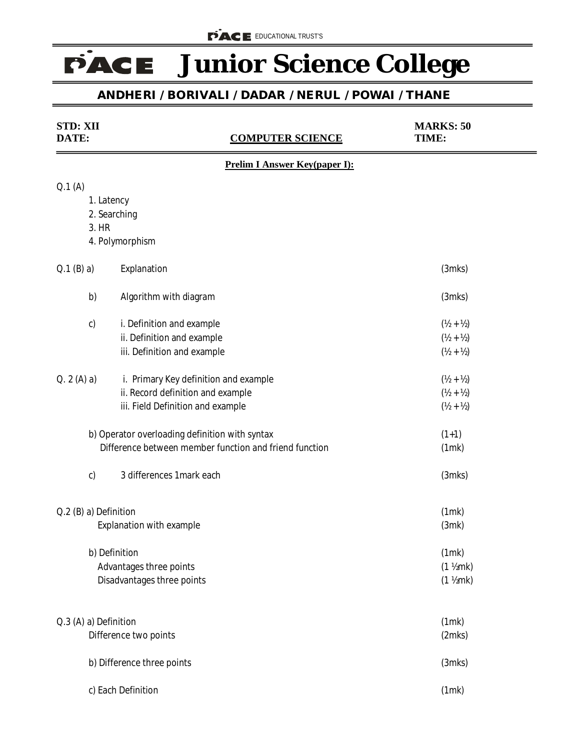## **FACE** Junior Science College

## **ANDHERI / BORIVALI / DADAR / NERUL / POWAI / THANE**

| <b>STD: XII</b><br>DATE:                             | <b>COMPUTER SCIENCE</b>                                |                                      | <b>MARKS: 50</b><br>TIME:     |  |
|------------------------------------------------------|--------------------------------------------------------|--------------------------------------|-------------------------------|--|
|                                                      |                                                        | <b>Prelim I Answer Key(paper I):</b> |                               |  |
| Q.1(A)                                               |                                                        |                                      |                               |  |
|                                                      | 1. Latency                                             |                                      |                               |  |
|                                                      | 2. Searching                                           |                                      |                               |  |
| 3. HR                                                |                                                        |                                      |                               |  |
|                                                      | 4. Polymorphism                                        |                                      |                               |  |
| $Q.1$ (B) a)                                         | Explanation                                            |                                      | $(3$ mks $)$                  |  |
| b)                                                   | Algorithm with diagram                                 |                                      | $(3$ mks $)$                  |  |
| c)                                                   | i. Definition and example                              |                                      | $(\frac{1}{2} + \frac{1}{2})$ |  |
|                                                      | ii. Definition and example                             |                                      | $(Y_2 + Y_2)$                 |  |
|                                                      | iii. Definition and example                            |                                      | $(Y_2 + Y_2)$                 |  |
| Q. 2 (A) a)<br>i. Primary Key definition and example |                                                        |                                      | $(\frac{1}{2} + \frac{1}{2})$ |  |
|                                                      | ii. Record definition and example                      |                                      | $(Y_2 + Y_2)$                 |  |
|                                                      | iii. Field Definition and example                      |                                      | $(Y_2 + Y_2)$                 |  |
|                                                      | b) Operator overloading definition with syntax         |                                      | $(1+1)$                       |  |
|                                                      | Difference between member function and friend function |                                      | (1mk)                         |  |
| c)                                                   | 3 differences 1 mark each                              |                                      | $(3$ mks $)$                  |  |
| Q.2 (B) a) Definition                                |                                                        |                                      | (1mk)                         |  |
| Explanation with example                             |                                                        |                                      | (3mk)                         |  |
|                                                      | b) Definition                                          |                                      | (1mk)                         |  |
| Advantages three points                              |                                                        |                                      | $(1$ $\frac{1}{2}$ mk)        |  |
|                                                      | Disadvantages three points                             |                                      | $(1$ ½mk $)$                  |  |
|                                                      |                                                        |                                      |                               |  |
| Q.3 (A) a) Definition<br>Difference two points       |                                                        | (1mk)<br>(2mks)                      |                               |  |
|                                                      |                                                        |                                      |                               |  |
|                                                      | b) Difference three points                             |                                      | $(3$ mks $)$                  |  |
|                                                      | c) Each Definition                                     |                                      | (1mk)                         |  |